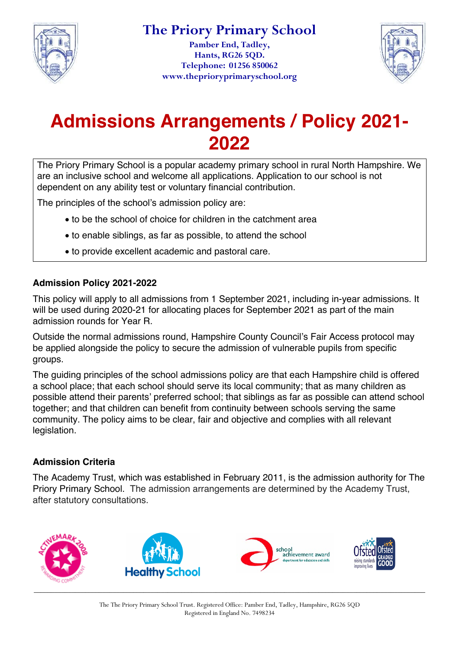

**Pamber End, Tadley, Hants, RG26 5QD. Telephone: 01256 850062 www.theprioryprimaryschool.org**



# **Admissions Arrangements / Policy 2021- 2022**

The Priory Primary School is a popular academy primary school in rural North Hampshire. We are an inclusive school and welcome all applications. Application to our school is not dependent on any ability test or voluntary financial contribution.

The principles of the school's admission policy are:

- to be the school of choice for children in the catchment area
- to enable siblings, as far as possible, to attend the school
- to provide excellent academic and pastoral care.

### **Admission Policy 2021-2022**

This policy will apply to all admissions from 1 September 2021, including in-year admissions. It will be used during 2020-21 for allocating places for September 2021 as part of the main admission rounds for Year R.

Outside the normal admissions round, Hampshire County Council's Fair Access protocol may be applied alongside the policy to secure the admission of vulnerable pupils from specific groups.

The guiding principles of the school admissions policy are that each Hampshire child is offered a school place; that each school should serve its local community; that as many children as possible attend their parents' preferred school; that siblings as far as possible can attend school together; and that children can benefit from continuity between schools serving the same community. The policy aims to be clear, fair and objective and complies with all relevant legislation.

### **Admission Criteria**

The Academy Trust, which was established in February 2011, is the admission authority for The Priory Primary School. The admission arrangements are determined by the Academy Trust, after statutory consultations.

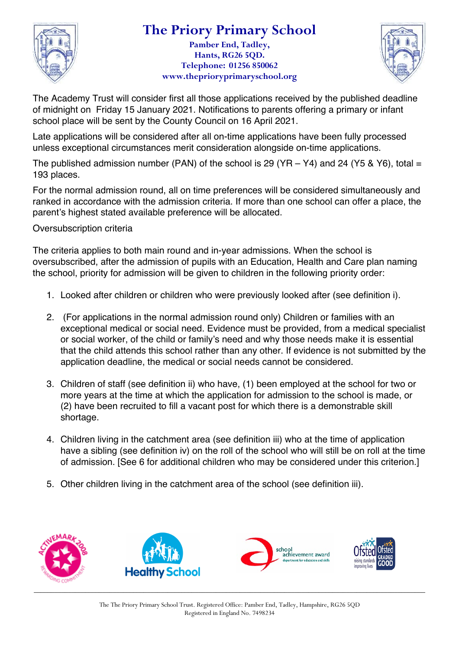

### **The Priory Primary School**

**Pamber End, Tadley, Hants, RG26 5QD. Telephone: 01256 850062 www.theprioryprimaryschool.org**



The Academy Trust will consider first all those applications received by the published deadline of midnight on Friday 15 January 2021. Notifications to parents offering a primary or infant school place will be sent by the County Council on 16 April 2021.

Late applications will be considered after all on-time applications have been fully processed unless exceptional circumstances merit consideration alongside on-time applications.

The published admission number (PAN) of the school is 29 (YR  $-$  Y4) and 24 (Y5 & Y6), total = 193 places.

For the normal admission round, all on time preferences will be considered simultaneously and ranked in accordance with the admission criteria. If more than one school can offer a place, the parent's highest stated available preference will be allocated.

Oversubscription criteria

The criteria applies to both main round and in-year admissions. When the school is oversubscribed, after the admission of pupils with an Education, Health and Care plan naming the school, priority for admission will be given to children in the following priority order:

- 1. Looked after children or children who were previously looked after (see definition i).
- 2. (For applications in the normal admission round only) Children or families with an exceptional medical or social need. Evidence must be provided, from a medical specialist or social worker, of the child or family's need and why those needs make it is essential that the child attends this school rather than any other. If evidence is not submitted by the application deadline, the medical or social needs cannot be considered.
- 3. Children of staff (see definition ii) who have, (1) been employed at the school for two or more years at the time at which the application for admission to the school is made, or (2) have been recruited to fill a vacant post for which there is a demonstrable skill shortage.
- 4. Children living in the catchment area (see definition iii) who at the time of application have a sibling (see definition iv) on the roll of the school who will still be on roll at the time of admission. [See 6 for additional children who may be considered under this criterion.]
- 5. Other children living in the catchment area of the school (see definition iii).

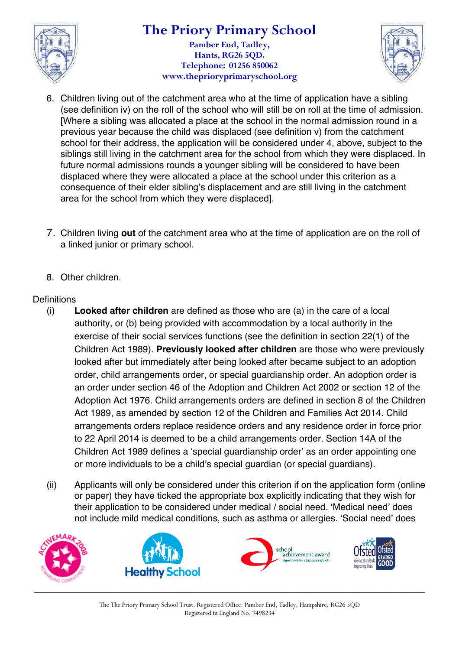

### **The Priory Primary School Pamber End, Tadley, Hants, RG26 5QD. Telephone: 01256 850062 www.theprioryprimaryschool.org**



- 6. Children living out of the catchment area who at the time of application have a sibling (see definition iv) on the roll of the school who will still be on roll at the time of admission. [Where a sibling was allocated a place at the school in the normal admission round in a previous year because the child was displaced (see definition v) from the catchment school for their address, the application will be considered under 4, above, subject to the siblings still living in the catchment area for the school from which they were displaced. In future normal admissions rounds a younger sibling will be considered to have been displaced where they were allocated a place at the school under this criterion as a consequence of their elder sibling's displacement and are still living in the catchment area for the school from which they were displaced].
- 7. Children living **out** of the catchment area who at the time of application are on the roll of a linked junior or primary school.
- 8. Other children.

### **Definitions**

- (i) **Looked after children** are defined as those who are (a) in the care of a local authority, or (b) being provided with accommodation by a local authority in the exercise of their social services functions (see the definition in section 22(1) of the Children Act 1989). **Previously looked after children** are those who were previously looked after but immediately after being looked after became subject to an adoption order, child arrangements order, or special guardianship order. An adoption order is an order under section 46 of the Adoption and Children Act 2002 or section 12 of the Adoption Act 1976. Child arrangements orders are defined in section 8 of the Children Act 1989, as amended by section 12 of the Children and Families Act 2014. Child arrangements orders replace residence orders and any residence order in force prior to 22 April 2014 is deemed to be a child arrangements order. Section 14A of the Children Act 1989 defines a 'special guardianship order' as an order appointing one or more individuals to be a child's special guardian (or special guardians).
- (ii) Applicants will only be considered under this criterion if on the application form (online or paper) they have ticked the appropriate box explicitly indicating that they wish for their application to be considered under medical / social need. 'Medical need' does not include mild medical conditions, such as asthma or allergies. 'Social need' does



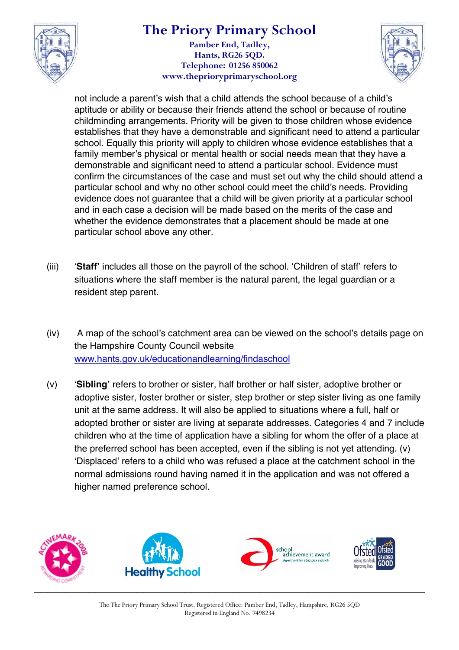

# **The Priory Primary School**

**Pamber End, Tadley, Hants, RG26 5QD. Telephone: 01256 850062 www.theprioryprimaryschool.org**



not include a parent's wish that a child attends the school because of a child's aptitude or ability or because their friends attend the school or because of routine childminding arrangements. Priority will be given to those children whose evidence establishes that they have a demonstrable and significant need to attend a particular school. Equally this priority will apply to children whose evidence establishes that a family member's physical or mental health or social needs mean that they have a demonstrable and significant need to attend a particular school. Evidence must confirm the circumstances of the case and must set out why the child should attend a particular school and why no other school could meet the child's needs. Providing evidence does not guarantee that a child will be given priority at a particular school and in each case a decision will be made based on the merits of the case and whether the evidence demonstrates that a placement should be made at one particular school above any other.

- (iii) '**Staff'** includes all those on the payroll of the school. 'Children of staff' refers to situations where the staff member is the natural parent, the legal guardian or a resident step parent.
- (iv) A map of the school's catchment area can be viewed on the school's details page on the Hampshire County Council website www.hants.gov.uk/educationandlearning/findaschool
- (v) '**Sibling'** refers to brother or sister, half brother or half sister, adoptive brother or adoptive sister, foster brother or sister, step brother or step sister living as one family unit at the same address. It will also be applied to situations where a full, half or adopted brother or sister are living at separate addresses. Categories 4 and 7 include children who at the time of application have a sibling for whom the offer of a place at the preferred school has been accepted, even if the sibling is not yet attending. (v) 'Displaced' refers to a child who was refused a place at the catchment school in the normal admissions round having named it in the application and was not offered a higher named preference school.

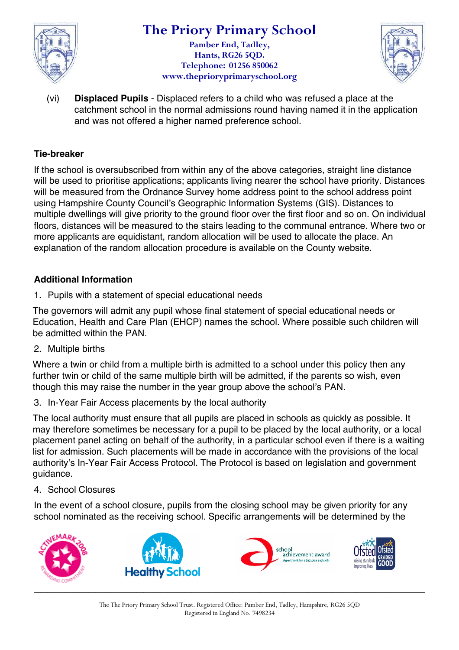

### **The Priory Primary School Pamber End, Tadley,**

**Hants, RG26 5QD. Telephone: 01256 850062 www.theprioryprimaryschool.org**



(vi) **Displaced Pupils** - Displaced refers to a child who was refused a place at the catchment school in the normal admissions round having named it in the application and was not offered a higher named preference school.

### **Tie-breaker**

If the school is oversubscribed from within any of the above categories, straight line distance will be used to prioritise applications; applicants living nearer the school have priority. Distances will be measured from the Ordnance Survey home address point to the school address point using Hampshire County Council's Geographic Information Systems (GIS). Distances to multiple dwellings will give priority to the ground floor over the first floor and so on. On individual floors, distances will be measured to the stairs leading to the communal entrance. Where two or more applicants are equidistant, random allocation will be used to allocate the place. An explanation of the random allocation procedure is available on the County website.

### **Additional Information**

1. Pupils with a statement of special educational needs

The governors will admit any pupil whose final statement of special educational needs or Education, Health and Care Plan (EHCP) names the school. Where possible such children will be admitted within the PAN.

2. Multiple births

Where a twin or child from a multiple birth is admitted to a school under this policy then any further twin or child of the same multiple birth will be admitted, if the parents so wish, even though this may raise the number in the year group above the school's PAN.

3. In-Year Fair Access placements by the local authority

The local authority must ensure that all pupils are placed in schools as quickly as possible. It may therefore sometimes be necessary for a pupil to be placed by the local authority, or a local placement panel acting on behalf of the authority, in a particular school even if there is a waiting list for admission. Such placements will be made in accordance with the provisions of the local authority's In-Year Fair Access Protocol. The Protocol is based on legislation and government guidance.

4. School Closures

In the event of a school closure, pupils from the closing school may be given priority for any school nominated as the receiving school. Specific arrangements will be determined by the

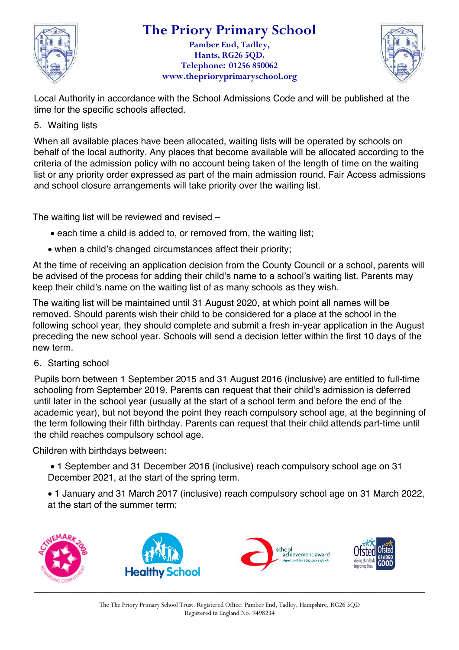

## **The Priory Primary School**

**Pamber End, Tadley, Hants, RG26 5QD. Telephone: 01256 850062 www.theprioryprimaryschool.org**



Local Authority in accordance with the School Admissions Code and will be published at the time for the specific schools affected.

5. Waiting lists

When all available places have been allocated, waiting lists will be operated by schools on behalf of the local authority. Any places that become available will be allocated according to the criteria of the admission policy with no account being taken of the length of time on the waiting list or any priority order expressed as part of the main admission round. Fair Access admissions and school closure arrangements will take priority over the waiting list.

The waiting list will be reviewed and revised –

- each time a child is added to, or removed from, the waiting list;
- when a child's changed circumstances affect their priority:

At the time of receiving an application decision from the County Council or a school, parents will be advised of the process for adding their child's name to a school's waiting list. Parents may keep their child's name on the waiting list of as many schools as they wish.

The waiting list will be maintained until 31 August 2020, at which point all names will be removed. Should parents wish their child to be considered for a place at the school in the following school year, they should complete and submit a fresh in-year application in the August preceding the new school year. Schools will send a decision letter within the first 10 days of the new term.

6. Starting school

Pupils born between 1 September 2015 and 31 August 2016 (inclusive) are entitled to full-time schooling from September 2019. Parents can request that their child's admission is deferred until later in the school year (usually at the start of a school term and before the end of the academic year), but not beyond the point they reach compulsory school age, at the beginning of the term following their fifth birthday. Parents can request that their child attends part-time until the child reaches compulsory school age.

Children with birthdays between:

• 1 September and 31 December 2016 (inclusive) reach compulsory school age on 31 December 2021, at the start of the spring term.

• 1 January and 31 March 2017 (inclusive) reach compulsory school age on 31 March 2022, at the start of the summer term;